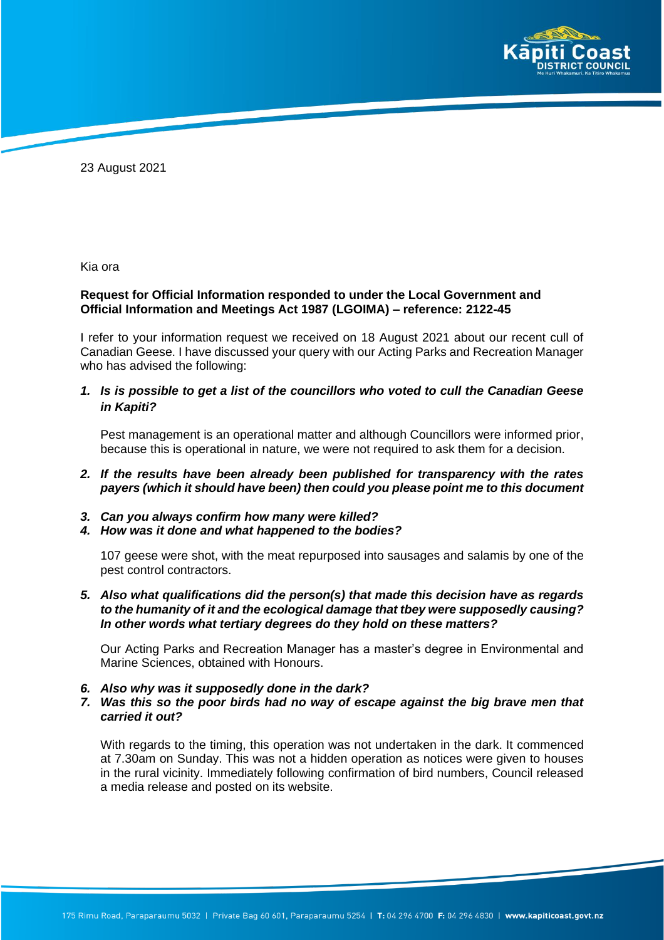

23 August 2021

Kia ora

## **Request for Official Information responded to under the Local Government and Official Information and Meetings Act 1987 (LGOIMA) – reference: 2122-45**

I refer to your information request we received on 18 August 2021 about our recent cull of Canadian Geese. I have discussed your query with our Acting Parks and Recreation Manager who has advised the following:

*1. Is is possible to get a list of the councillors who voted to cull the Canadian Geese in Kapiti?*

Pest management is an operational matter and although Councillors were informed prior, because this is operational in nature, we were not required to ask them for a decision.

- *2. If the results have been already been published for transparency with the rates payers (which it should have been) then could you please point me to this document*
- *3. Can you always confirm how many were killed?*
- *4. How was it done and what happened to the bodies?*

107 geese were shot, with the meat repurposed into sausages and salamis by one of the pest control contractors.

*5. Also what qualifications did the person(s) that made this decision have as regards to the humanity of it and the ecological damage that tbey were supposedly causing? In other words what tertiary degrees do they hold on these matters?*

Our Acting Parks and Recreation Manager has a master's degree in Environmental and Marine Sciences, obtained with Honours.

- *6. Also why was it supposedly done in the dark?*
- *7. Was this so the poor birds had no way of escape against the big brave men that carried it out?*

With regards to the timing, this operation was not undertaken in the dark. It commenced at 7.30am on Sunday. This was not a hidden operation as notices were given to houses in the rural vicinity. Immediately following confirmation of bird numbers, Council released a media release and posted on its website.